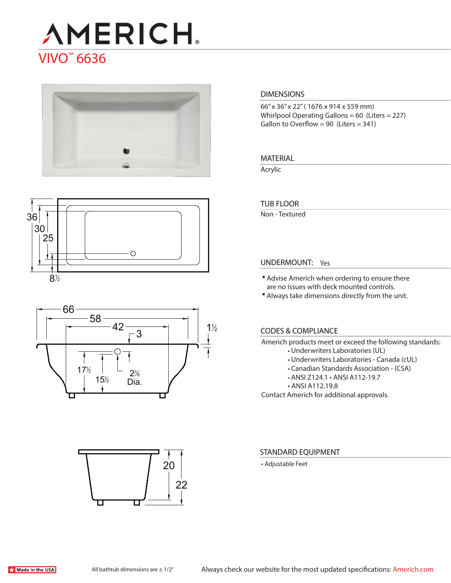# **AMERICH** VIVO™ 6636







# 22 20

#### **DIMENSIONS**

66" x 36" x 22" ( 1676 x 914 x 559 mm) Whirlpool Operating Gallons = 60 (Liters = 227) Gallon to Overflow = 90 (Liters =  $341$ )

#### **MATERIAL**

Acrylic

#### **TUB FLOOR**

Non - Textured

#### **UNDERMOUNT:** Yes

- Advise Americh when ordering to ensure there are no issues with deck mounted controls.
- Always take dimensions directly from the unit.

#### **CODES & COMPLIANCE**

Americh products meet or exceed the following standards:

- Underwriters Laboratories (UL)
- Underwriters Laboratories Canada (cUL)
- Canadian Standards Association (CSA)
- ANSI Z124.1 ANSI A112-19.7
- ANSI A112.19.8

Contact Americh for additional approvals.

#### **STANDARD EQUIPMENT**

• Adjustable Feet